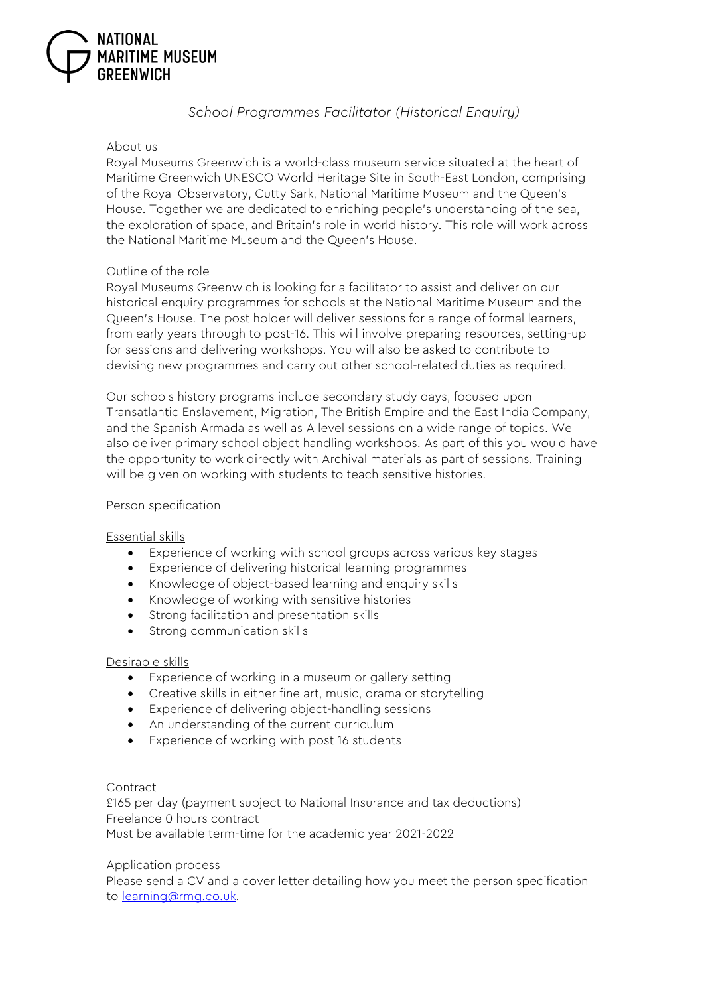

# *School Programmes Facilitator (Historical Enquiry)*

### About us

Royal Museums Greenwich is a world-class museum service situated at the heart of Maritime Greenwich UNESCO World Heritage Site in South-East London, comprising of the Royal Observatory, Cutty Sark, National Maritime Museum and the Queen's House. Together we are dedicated to enriching people's understanding of the sea, the exploration of space, and Britain's role in world history. This role will work across the National Maritime Museum and the Queen's House.

## Outline of the role

Royal Museums Greenwich is looking for a facilitator to assist and deliver on our historical enquiry programmes for schools at the National Maritime Museum and the Queen's House. The post holder will deliver sessions for a range of formal learners, from early years through to post-16. This will involve preparing resources, setting-up for sessions and delivering workshops. You will also be asked to contribute to devising new programmes and carry out other school-related duties as required.

Our schools history programs include secondary study days, focused upon Transatlantic Enslavement, Migration, The British Empire and the East India Company, and the Spanish Armada as well as A level sessions on a wide range of topics. We also deliver primary school object handling workshops. As part of this you would have the opportunity to work directly with Archival materials as part of sessions. Training will be given on working with students to teach sensitive histories.

### Person specification

### Essential skills

- Experience of working with school groups across various key stages
- Experience of delivering historical learning programmes
- Knowledge of object-based learning and enquiry skills
- Knowledge of working with sensitive histories
- Strong facilitation and presentation skills
- Strong communication skills

### Desirable skills

- Experience of working in a museum or gallery setting
- Creative skills in either fine art, music, drama or storytelling
- Experience of delivering object-handling sessions
- An understanding of the current curriculum
- Experience of working with post 16 students

### Contract

£165 per day (payment subject to National Insurance and tax deductions) Freelance 0 hours contract Must be available term-time for the academic year 2021-2022

Application process

Please send a CV and a cover letter detailing how you meet the person specification to [learning@rmg.co.uk.](mailto:learning@rmg.co.uk)